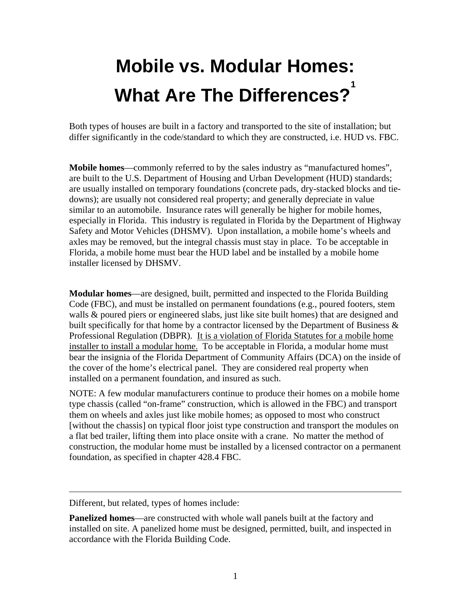## **Mobile vs. Modular Homes: What Are The Differences? 1**

Both types of houses are built in a factory and transported to the site of installation; but differ significantly in the code/standard to which they are constructed, i.e. HUD vs. FBC.

**Mobile homes**—commonly referred to by the sales industry as "manufactured homes", are built to the U.S. Department of Housing and Urban Development (HUD) standards; are usually installed on temporary foundations (concrete pads, dry-stacked blocks and tiedowns); are usually not considered real property; and generally depreciate in value similar to an automobile. Insurance rates will generally be higher for mobile homes, especially in Florida. This industry is regulated in Florida by the Department of Highway Safety and Motor Vehicles (DHSMV). Upon installation, a mobile home's wheels and axles may be removed, but the integral chassis must stay in place. To be acceptable in Florida, a mobile home must bear the HUD label and be installed by a mobile home installer licensed by DHSMV.

**Modular homes**—are designed, built, permitted and inspected to the Florida Building Code (FBC), and must be installed on permanent foundations (e.g., poured footers, stem walls & poured piers or engineered slabs, just like site built homes) that are designed and built specifically for that home by a contractor licensed by the Department of Business & Professional Regulation (DBPR). It is a violation of Florida Statutes for a mobile home installer to install a modular home. To be acceptable in Florida, a modular home must bear the insignia of the Florida Department of Community Affairs (DCA) on the inside of the cover of the home's electrical panel. They are considered real property when installed on a permanent foundation, and insured as such.

NOTE: A few modular manufacturers continue to produce their homes on a mobile home type chassis (called "on-frame" construction, which is allowed in the FBC) and transport them on wheels and axles just like mobile homes; as opposed to most who construct [without the chassis] on typical floor joist type construction and transport the modules on a flat bed trailer, lifting them into place onsite with a crane. No matter the method of construction, the modular home must be installed by a licensed contractor on a permanent foundation, as specified in chapter 428.4 FBC.

 $\overline{a}$ 

Different, but related, types of homes include:

**Panelized homes—are constructed with whole wall panels built at the factory and** installed on site. A panelized home must be designed, permitted, built, and inspected in accordance with the Florida Building Code.